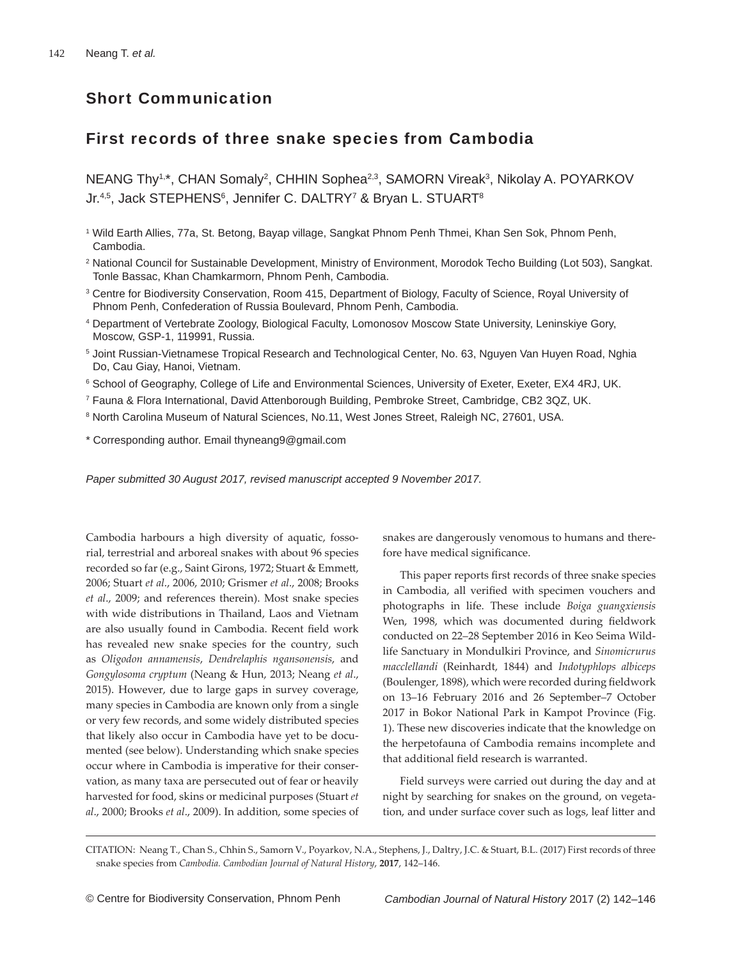# Short Communication

# First records of three snake species from Cambodia

NEANG Thy<sup>1,\*</sup>, CHAN Somaly<sup>2</sup>, CHHIN Sophea<sup>2,3</sup>, SAMORN Vireak<sup>3</sup>, Nikolay A. POYARKOV Jr. $4.5$ , Jack STEPHENS $^6$ , Jennifer C. DALTRY<sup>7</sup> & Bryan L. STUART $^8$ 

- 1 Wild Earth Allies, 77a, St. Betong, Bayap village, Sangkat Phnom Penh Thmei, Khan Sen Sok, Phnom Penh, Cambodia.
- 2 National Council for Sustainable Development, Ministry of Environment, Morodok Techo Building (Lot 503), Sangkat. Tonle Bassac, Khan Chamkarmorn, Phnom Penh, Cambodia.
- 3 Centre for Biodiversity Conservation, Room 415, Department of Biology, Faculty of Science, Royal University of Phnom Penh, Confederation of Russia Boulevard, Phnom Penh, Cambodia.
- 4 Department of Vertebrate Zoology, Biological Faculty, Lomonosov Moscow State University, Leninskiye Gory, Moscow, GSP-1, 119991, Russia.
- 5 Joint Russian-Vietnamese Tropical Research and Technological Center, No. 63, Nguyen Van Huyen Road, Nghia Do, Cau Giay, Hanoi, Vietnam.
- 6 School of Geography, College of Life and Environmental Sciences, University of Exeter, Exeter, EX4 4RJ, UK.
- 7 Fauna & Flora International, David Attenborough Building, Pembroke Street, Cambridge, CB2 3QZ, UK.
- 8 North Carolina Museum of Natural Sciences, No.11, West Jones Street, Raleigh NC, 27601, USA.
- \* Corresponding author. Email thyneang9@gmail.com

*Paper submitted 30 August 2017, revised manuscript accepted 9 November 2017.*

Cambodia harbours a high diversity of aquatic, fossorial, terrestrial and arboreal snakes with about 96 species recorded so far (e.g., Saint Girons, 1972; Stuart & Emmett, 2006; Stuart *et al*., 2006, 2010; Grismer *et al*., 2008; Brooks *et al*., 2009; and references therein). Most snake species with wide distributions in Thailand, Laos and Vietnam are also usually found in Cambodia. Recent field work has revealed new snake species for the country, such as *Oligodon annamensis*, *Dendrelaphis ngansonensis*, and *Gongylosoma cryptum* (Neang & Hun, 2013; Neang *et al*., 2015). However, due to large gaps in survey coverage, many species in Cambodia are known only from a single or very few records, and some widely distributed species that likely also occur in Cambodia have yet to be documented (see below). Understanding which snake species occur where in Cambodia is imperative for their conservation, as many taxa are persecuted out of fear or heavily harvested for food, skins or medicinal purposes (Stuart *et al*., 2000; Brooks *et al*., 2009). In addition, some species of snakes are dangerously venomous to humans and therefore have medical significance.

This paper reports first records of three snake species in Cambodia, all verified with specimen vouchers and photographs in life. These include *Boiga guangxiensis*  Wen, 1998, which was documented during fieldwork conducted on 22–28 September 2016 in Keo Seima Wildlife Sanctuary in Mondulkiri Province, and *Sinomicrurus macclellandi* (Reinhardt, 1844) and *Indotyphlops albiceps*  (Boulenger, 1898), which were recorded during fieldwork on 13–16 February 2016 and 26 September–7 October 2017 in Bokor National Park in Kampot Province (Fig. 1). These new discoveries indicate that the knowledge on the herpetofauna of Cambodia remains incomplete and that additional field research is warranted.

 Field surveys were carried out during the day and at night by searching for snakes on the ground, on vegetation, and under surface cover such as logs, leaf litter and

CITATION: Neang T., Chan S., Chhin S., Samorn V., Poyarkov, N.A., Stephens, J., Daltry, J.C. & Stuart, B.L. (2017) First records of three snake species from *Cambodia. Cambodian Journal of Natural History*, **2017**, 142–146.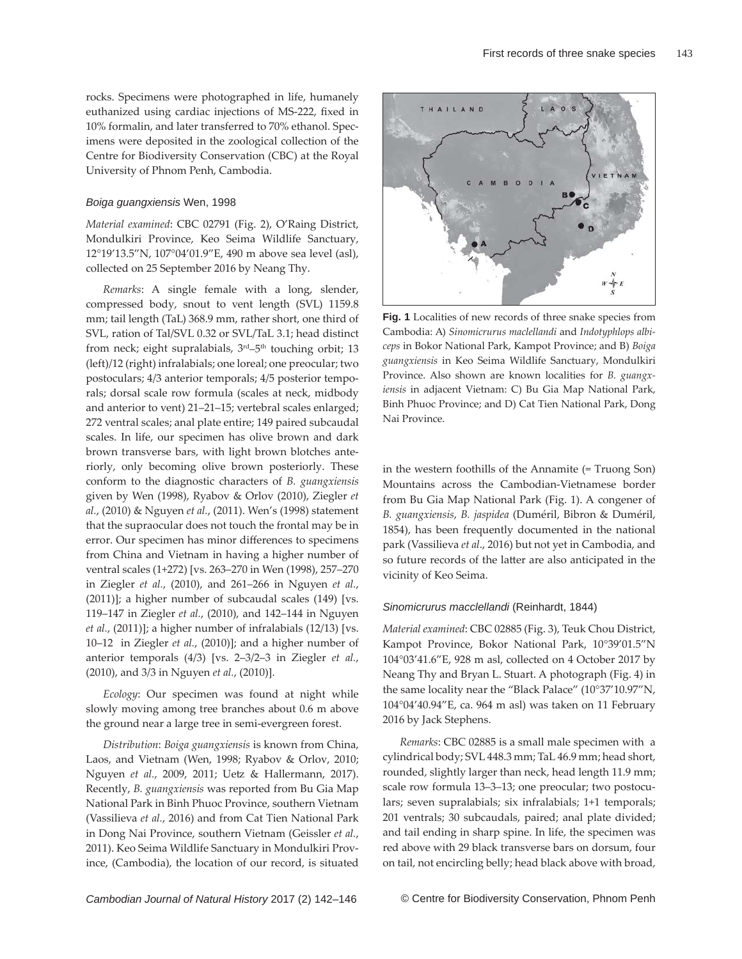rocks. Specimens were photographed in life, humanely euthanized using cardiac injections of MS-222, fixed in 10% formalin, and later transferred to 70% ethanol. Specimens were deposited in the zoological collection of the Centre for Biodiversity Conservation (CBC) at the Royal University of Phnom Penh, Cambodia.

#### *Boiga guangxiensis* Wen, 1998

*Material examined*: CBC 02791 (Fig. 2), O'Raing District, Mondulkiri Province, Keo Seima Wildlife Sanctuary, 12°19'13.5"N, 107°04'01.9"E, 490 m above sea level (asl), collected on 25 September 2016 by Neang Thy.

*Remarks*: A single female with a long, slender, compressed body, snout to vent length (SVL) 1159.8 mm; tail length (TaL) 368.9 mm, rather short, one third of SVL, ration of Tal/SVL 0.32 or SVL/TaL 3.1; head distinct from neck; eight supralabials,  $3<sup>rd</sup>-5<sup>th</sup>$  touching orbit; 13 (left)/12 (right) infralabials; one loreal; one preocular; two postoculars; 4/3 anterior temporals; 4/5 posterior temporals; dorsal scale row formula (scales at neck, midbody and anterior to vent) 21–21–15; vertebral scales enlarged; 272 ventral scales; anal plate entire; 149 paired subcaudal scales. In life, our specimen has olive brown and dark brown transverse bars, with light brown blotches anteriorly, only becoming olive brown posteriorly. These conform to the diagnostic characters of *B. guangxiensis*  given by Wen (1998), Ryabov & Orlov (2010), Ziegler *et al.*, (2010) & Nguyen *et al.*, (2011). Wen's (1998) statement that the supraocular does not touch the frontal may be in error. Our specimen has minor differences to specimens from China and Vietnam in having a higher number of ventral scales (1+272) [vs. 263–270 in Wen (1998), 257–270 in Ziegler *et al.*, (2010), and 261–266 in Nguyen *et al.*, (2011)]; a higher number of subcaudal scales (149) [vs. 119–147 in Ziegler *et al.*, (2010), and 142–144 in Nguyen *et al.*, (2011)]; a higher number of infralabials (12/13) [vs. 10–12 in Ziegler *et al.*, (2010)]; and a higher number of anterior temporals (4/3) [vs. 2–3/2–3 in Ziegler *et al.*, (2010), and 3/3 in Nguyen *et al.*, (2010)].

*Ecology*: Our specimen was found at night while slowly moving among tree branches about 0.6 m above the ground near a large tree in semi-evergreen forest.

*Distribution*: *Boiga guangxiensis* is known from China, Laos, and Vietnam (Wen, 1998; Ryabov & Orlov, 2010; Nguyen *et al.*, 2009, 2011; Uetz & Hallermann, 2017). Recently, *B. guangxiensis* was reported from Bu Gia Map National Park in Binh Phuoc Province, southern Vietnam (Vassilieva *et al.*, 2016) and from Cat Tien National Park in Dong Nai Province, southern Vietnam (Geissler *et al.*, 2011). Keo Seima Wildlife Sanctuary in Mondulkiri Province, (Cambodia), the location of our record, is situated



**Fig. 1** Localities of new records of three snake species from Cambodia: A) *Sinomicrurus maclellandi* and *Indotyphlops albiceps* in Bokor National Park, Kampot Province; and B) *Boiga guangxiensis* in Keo Seima Wildlife Sanctuary, Mondulkiri Province. Also shown are known localities for *B. guangxiensis* in adjacent Vietnam: C) Bu Gia Map National Park, Binh Phuoc Province; and D) Cat Tien National Park, Dong Nai Province.

in the western foothills of the Annamite (= Truong Son) Mountains across the Cambodian-Vietnamese border from Bu Gia Map National Park (Fig. 1). A congener of *B. guangxiensis*, *B. jaspidea* (Duméril, Bibron & Duméril, 1854), has been frequently documented in the national park (Vassilieva *et al*., 2016) but not yet in Cambodia, and so future records of the latter are also anticipated in the vicinity of Keo Seima.

#### *Sinomicrurus macclellandi* (Reinhardt, 1844)

*Material examined*: CBC 02885 (Fig. 3), Teuk Chou District, Kampot Province, Bokor National Park, 10°39'01.5"N 104°03'41.6"E, 928 m asl, collected on 4 October 2017 by Neang Thy and Bryan L. Stuart. A photograph (Fig. 4) in the same locality near the "Black Palace" (10°37'10.97"N, 104°04'40.94"E, ca. 964 m asl) was taken on 11 February 2016 by Jack Stephens.

*Remarks*: CBC 02885 is a small male specimen with a cylindrical body; SVL 448.3 mm; TaL 46.9 mm; head short, rounded, slightly larger than neck, head length 11.9 mm; scale row formula 13–3–13; one preocular; two postoculars; seven supralabials; six infralabials; 1+1 temporals; 201 ventrals; 30 subcaudals, paired; anal plate divided; and tail ending in sharp spine. In life, the specimen was red above with 29 black transverse bars on dorsum, four on tail, not encircling belly; head black above with broad,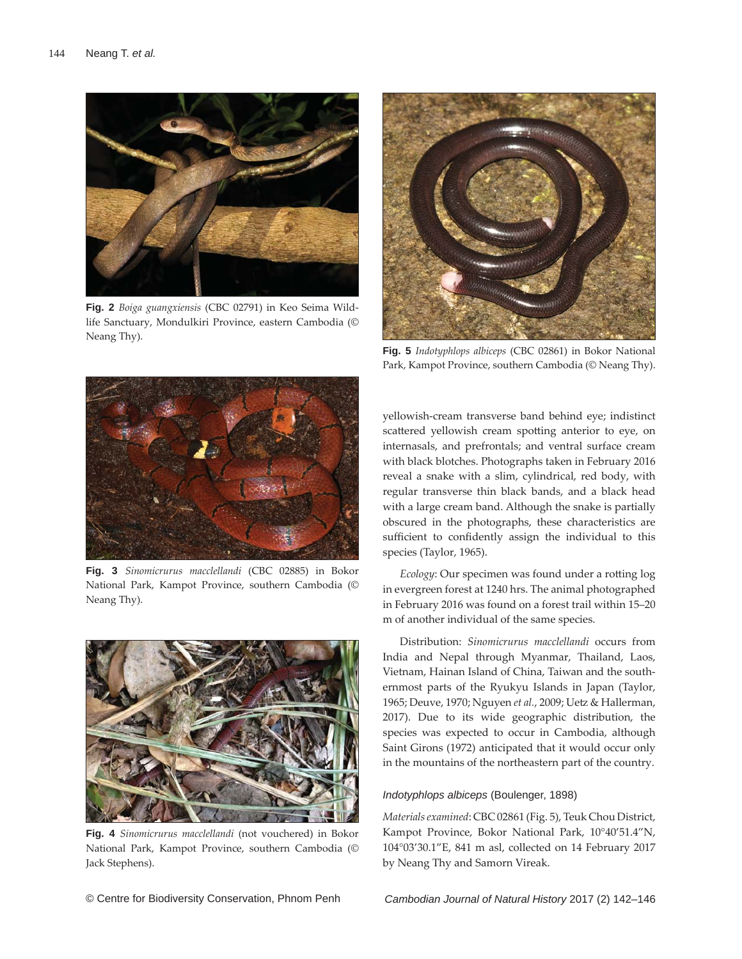

**Fig. 2** *Boiga guangxiensis* (CBC 02791) in Keo Seima Wildlife Sanctuary, Mondulkiri Province, eastern Cambodia (© Neang Thy).



**Fig. 5** *Indotyphlops albiceps* (CBC 02861) in Bokor National Park, Kampot Province, southern Cambodia (© Neang Thy).



**Fig. 3** *Sinomicrurus macclellandi* (CBC 02885) in Bokor National Park, Kampot Province, southern Cambodia (© Neang Thy).



**Fig. 4** *Sinomicrurus macclellandi* (not vouchered) in Bokor National Park, Kampot Province, southern Cambodia (© Jack Stephens).

yellowish-cream transverse band behind eye; indistinct scattered yellowish cream spotting anterior to eye, on internasals, and prefrontals; and ventral surface cream with black blotches. Photographs taken in February 2016 reveal a snake with a slim, cylindrical, red body, with regular transverse thin black bands, and a black head with a large cream band. Although the snake is partially obscured in the photographs, these characteristics are sufficient to confidently assign the individual to this species (Taylor, 1965).

*Ecology*: Our specimen was found under a rotting log in evergreen forest at 1240 hrs. The animal photographed in February 2016 was found on a forest trail within 15–20 m of another individual of the same species.

 Distribution: *Sinomicrurus macclellandi* occurs from India and Nepal through Myanmar, Thailand, Laos, Vietnam, Hainan Island of China, Taiwan and the southernmost parts of the Ryukyu Islands in Japan (Taylor, 1965; Deuve, 1970; Nguyen *et al.*, 2009; Uetz & Hallerman, 2017). Due to its wide geographic distribution, the species was expected to occur in Cambodia, although Saint Girons (1972) anticipated that it would occur only in the mountains of the northeastern part of the country.

#### *Indotyphlops albiceps* (Boulenger, 1898)

*Materials examined*: CBC 02861 (Fig. 5), Teuk Chou District, Kampot Province, Bokor National Park, 10°40'51.4"N, 104°03'30.1"E, 841 m asl, collected on 14 February 2017 by Neang Thy and Samorn Vireak.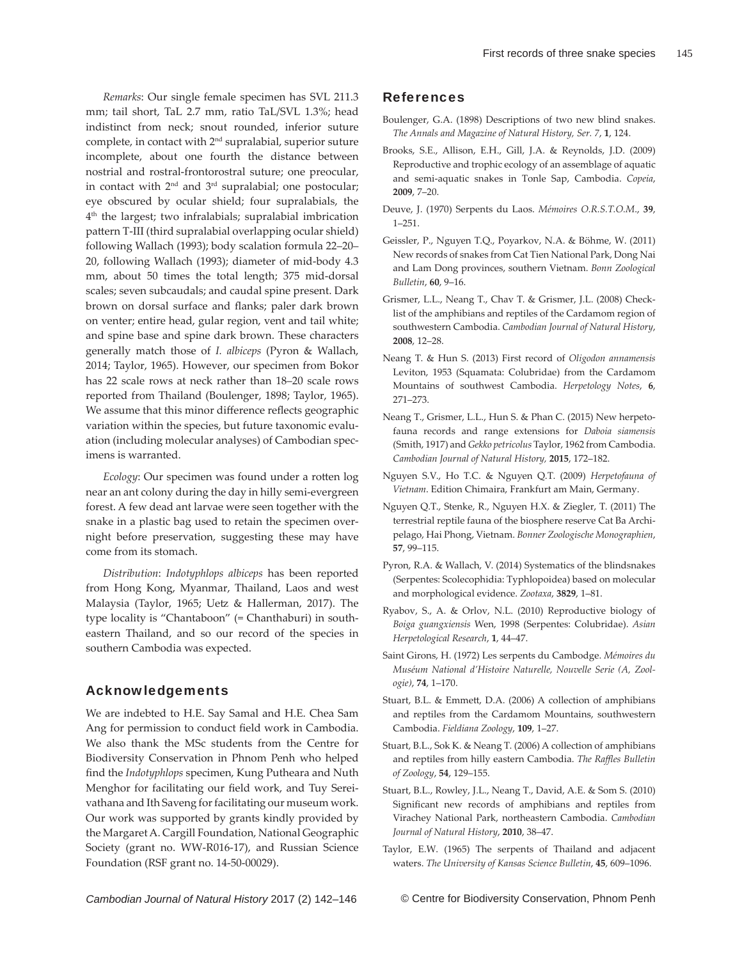*Remarks*: Our single female specimen has SVL 211.3 mm; tail short, TaL 2.7 mm, ratio TaL/SVL 1.3%; head indistinct from neck; snout rounded, inferior suture complete, in contact with 2nd supralabial, superior suture incomplete, about one fourth the distance between nostrial and rostral-frontorostral suture; one preocular, in contact with  $2<sup>nd</sup>$  and  $3<sup>rd</sup>$  supralabial; one postocular; eye obscured by ocular shield; four supralabials, the 4th the largest; two infralabials; supralabial imbrication pattern T-III (third supralabial overlapping ocular shield) following Wallach (1993); body scalation formula 22–20– 20, following Wallach (1993); diameter of mid-body 4.3 mm, about 50 times the total length; 375 mid-dorsal scales; seven subcaudals; and caudal spine present. Dark brown on dorsal surface and flanks; paler dark brown on venter; entire head, gular region, vent and tail white; and spine base and spine dark brown. These characters generally match those of *I. albiceps* (Pyron & Wallach, 2014; Taylor, 1965). However, our specimen from Bokor has 22 scale rows at neck rather than 18–20 scale rows reported from Thailand (Boulenger, 1898; Taylor, 1965). We assume that this minor difference reflects geographic variation within the species, but future taxonomic evaluation (including molecular analyses) of Cambodian specimens is warranted.

*Ecology*: Our specimen was found under a rotten log near an ant colony during the day in hilly semi-evergreen forest. A few dead ant larvae were seen together with the snake in a plastic bag used to retain the specimen overnight before preservation, suggesting these may have come from its stomach.

*Distribution*: *Indotyphlops albiceps* has been reported from Hong Kong, Myanmar, Thailand, Laos and west Malaysia (Taylor, 1965; Uetz & Hallerman, 2017). The type locality is "Chantaboon" (= Chanthaburi) in southeastern Thailand, and so our record of the species in southern Cambodia was expected.

### Acknowledgements

We are indebted to H.E. Say Samal and H.E. Chea Sam Ang for permission to conduct field work in Cambodia. We also thank the MSc students from the Centre for Biodiversity Conservation in Phnom Penh who helped find the *Indotyphlops* specimen, Kung Putheara and Nuth Menghor for facilitating our field work, and Tuy Sereivathana and Ith Saveng for facilitating our museum work. Our work was supported by grants kindly provided by the Margaret A. Cargill Foundation, National Geographic Society (grant no. WW-R016-17), and Russian Science Foundation (RSF grant no. 14-50-00029).

### References

- Boulenger, G.A. (1898) Descriptions of two new blind snakes. *The Annals and Magazine of Natural History, Ser. 7*, **1**, 124.
- Brooks, S.E., Allison, E.H., Gill, J.A. & Reynolds, J.D. (2009) Reproductive and trophic ecology of an assemblage of aquatic and semi-aquatic snakes in Tonle Sap, Cambodia. *Copeia*, **2009**, 7–20.
- Deuve, J. (1970) Serpents du Laos. *Mémoires O.R.S.T.O.M*., **39**, 1–251.
- Geissler, P., Nguyen T.Q., Poyarkov, N.A. & Böhme, W. (2011) New records of snakes from Cat Tien National Park, Dong Nai and Lam Dong provinces, southern Vietnam. *Bonn Zoological Bulletin*, **60**, 9–16.
- Grismer, L.L., Neang T., Chav T. & Grismer, J.L. (2008) Checklist of the amphibians and reptiles of the Cardamom region of southwestern Cambodia. *Cambodian Journal of Natural History*, **2008**, 12‒28.
- Neang T. & Hun S. (2013) First record of *Oligodon annamensis*  Leviton, 1953 (Squamata: Colubridae) from the Cardamom Mountains of southwest Cambodia. *Herpetology Notes*, **6**, 271–273.
- Neang T., Grismer, L.L., Hun S. & Phan C. (2015) New herpetofauna records and range extensions for *Daboia siamensis*  (Smith, 1917) and *Gekko petricolus* Taylor, 1962 from Cambodia. *Cambodian Journal of Natural History,* **2015**, 172–182.
- Nguyen S.V., Ho T.C. & Nguyen Q.T. (2009) *Herpetofauna of Vietnam*. Edition Chimaira, Frankfurt am Main, Germany.
- Nguyen Q.T., Stenke, R., Nguyen H.X. & Ziegler, T. (2011) The terrestrial reptile fauna of the biosphere reserve Cat Ba Archipelago, Hai Phong, Vietnam. *Bonner Zoologische Monographien*, **57**, 99–115.
- Pyron, R.A. & Wallach, V. (2014) Systematics of the blindsnakes (Serpentes: Scolecophidia: Typhlopoidea) based on molecular and morphological evidence. *Zootaxa*, **3829**, 1–81.
- Ryabov, S., A. & Orlov, N.L. (2010) Reproductive biology of *Boiga guangxiensis* Wen, 1998 (Serpentes: Colubridae). *Asian Herpetological Research*, **1**, 44–47.
- Saint Girons, H. (1972) Les serpents du Cambodge. *Mémoires du Muséum National d'Histoire Naturelle, Nouvelle Serie (A, Zoologie)*, **74**, 1–170.
- Stuart, B.L. & Emmett, D.A. (2006) A collection of amphibians and reptiles from the Cardamom Mountains, southwestern Cambodia. *Fieldiana Zoology*, **109**, 1‒27.
- Stuart, B.L., Sok K. & Neang T. (2006) A collection of amphibians and reptiles from hilly eastern Cambodia. The Raffles Bulletin *of Zoology*, **54**, 129–155.
- Stuart, B.L., Rowley, J.L., Neang T., David, A.E. & Som S. (2010) Significant new records of amphibians and reptiles from Virachey National Park, northeastern Cambodia. *Cambodian Journal of Natural History*, **2010**, 38‒47.
- Taylor, E.W. (1965) The serpents of Thailand and adjacent waters. *The University of Kansas Science Bulletin*, **45**, 609–1096.

*Cambodian Journal of Natural History* 2017 (2) 142–146

© Centre for Biodiversity Conservation, Phnom Penh